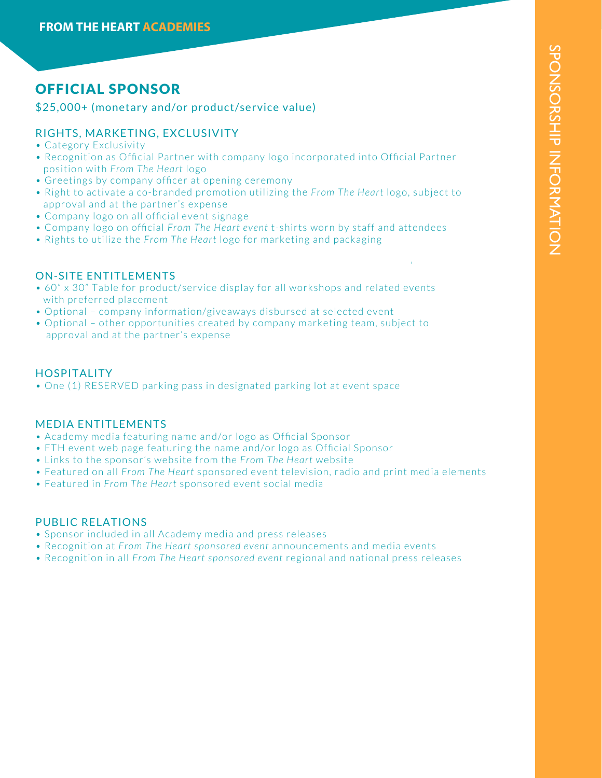# OFFICIAL SPONSOR

## \$25,000+ (monetary and/or product/service value)

## RIGHTS, MARKETING, EXCLUSIVITY

- Category Exclusivity
- Recognition as Official Partner with company logo incorporated into Official Partner position with *From The Heart* logo
- Greetings by company officer at opening ceremony
- Right to activate a co-branded promotion utilizing the *From The Heart* logo, subject to approval and at the partner's expense
- Company logo on all official event signage
- Company logo on official *From The Heart event* t-shirts worn by staff and attendees
- Rights to utilize the *From The Heart* logo for marketing and packaging

## ON-SITE ENTITLEMENTS

- 60" x 30" Table for product/service display for all workshops and related events with preferred placement
- Optional company information/giveaways disbursed at selected event
- Optional other opportunities created by company marketing team, subject to approval and at the partner's expense

#### HOSPITALITY

• One (1) RESERVED parking pass in designated parking lot at event space

#### MEDIA ENTITLEMENTS

- Academy media featuring name and/or logo as Official Sponsor
- FTH event web page featuring the name and/or logo as Official Sponsor
- Links to the sponsor's website from the *From The Heart* website
- Featured on all *From The Heart* sponsored event television, radio and print media elements
- Featured in *From The Heart* sponsored event social media

#### PUBLIC RELATIONS

- Sponsor included in all Academy media and press releases
- Recognition at *From The Heart sponsored event* announcements and media events
- Recognition in all *From The Heart sponsored event* regional and national press releases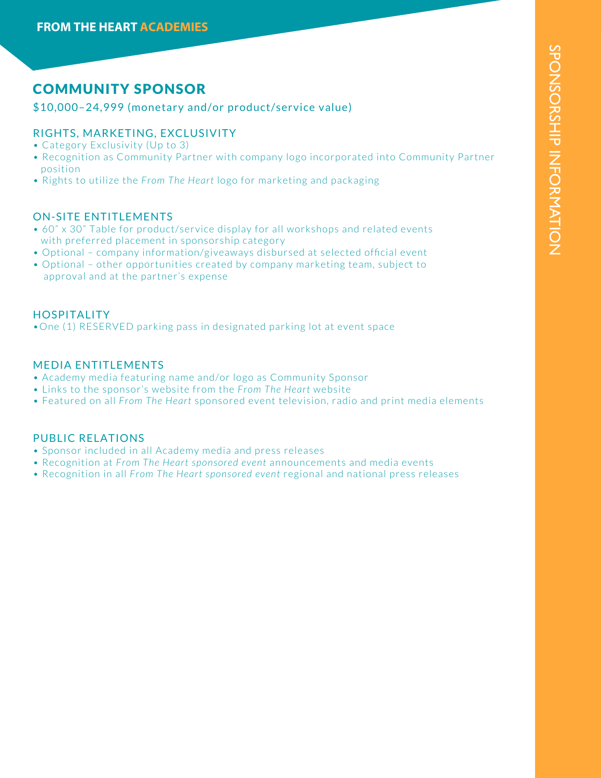# COMMUNITY SPONSOR

#### \$10,000–24,999 (monetary and/or product/service value)

### RIGHTS, MARKETING, EXCLUSIVITY

- Category Exclusivity (Up to 3)
- Recognition as Community Partner with company logo incorporated into Community Partner position
- Rights to utilize the *From The Heart* logo for marketing and packaging

#### ON-SITE ENTITLEMENTS

- 60" x 30" Table for product/service display for all workshops and related events with preferred placement in sponsorship category
- Optional company information/giveaways disbursed at selected official event
- Optional other opportunities created by company marketing team, subject to approval and at the partner's expense

#### **HOSPITALITY**

•One (1) RESERVED parking pass in designated parking lot at event space

#### MEDIA ENTITLEMENTS

- Academy media featuring name and/or logo as Community Sponsor
- Links to the sponsor's website from the *From The Heart* website
- Featured on all *From The Heart* sponsored event television, radio and print media elements

#### PUBLIC RELATIONS

- Sponsor included in all Academy media and press releases
- Recognition at *From The Heart sponsored event* announcements and media events
- Recognition in all *From The Heart sponsored event* regional and national press releases